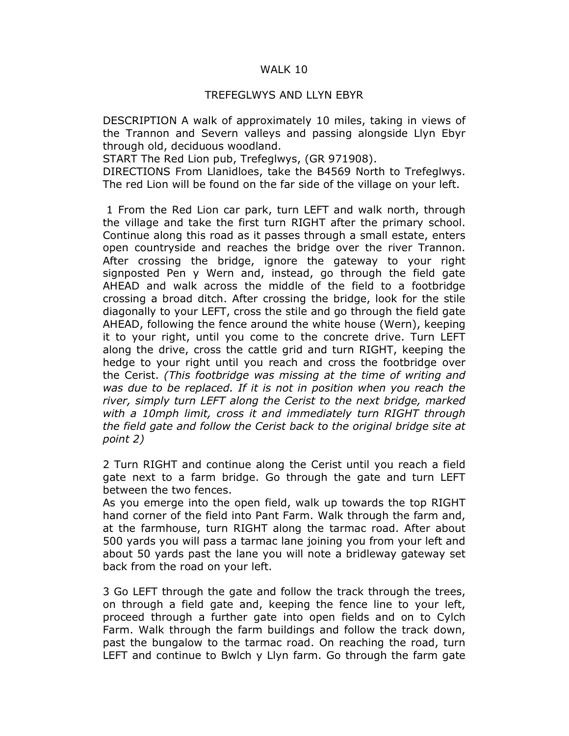## WALK 10

## TREFEGLWYS AND LLYN EBYR

DESCRIPTION A walk of approximately 10 miles, taking in views of the Trannon and Severn valleys and passing alongside Llyn Ebyr through old, deciduous woodland.

START The Red Lion pub, Trefeglwys, (GR 971908).

DIRECTIONS From Llanidloes, take the B4569 North to Trefeglwys. The red Lion will be found on the far side of the village on your left.

 1 From the Red Lion car park, turn LEFT and walk north, through the village and take the first turn RIGHT after the primary school. Continue along this road as it passes through a small estate, enters open countryside and reaches the bridge over the river Trannon. After crossing the bridge, ignore the gateway to your right signposted Pen y Wern and, instead, go through the field gate AHEAD and walk across the middle of the field to a footbridge crossing a broad ditch. After crossing the bridge, look for the stile diagonally to your LEFT, cross the stile and go through the field gate AHEAD, following the fence around the white house (Wern), keeping it to your right, until you come to the concrete drive. Turn LEFT along the drive, cross the cattle grid and turn RIGHT, keeping the hedge to your right until you reach and cross the footbridge over the Cerist. (This footbridge was missing at the time of writing and was due to be replaced. If it is not in position when you reach the river, simply turn LEFT along the Cerist to the next bridge, marked with a 10mph limit, cross it and immediately turn RIGHT through the field gate and follow the Cerist back to the original bridge site at point 2)

2 Turn RIGHT and continue along the Cerist until you reach a field gate next to a farm bridge. Go through the gate and turn LEFT between the two fences.

As you emerge into the open field, walk up towards the top RIGHT hand corner of the field into Pant Farm. Walk through the farm and, at the farmhouse, turn RIGHT along the tarmac road. After about 500 yards you will pass a tarmac lane joining you from your left and about 50 yards past the lane you will note a bridleway gateway set back from the road on your left.

3 Go LEFT through the gate and follow the track through the trees, on through a field gate and, keeping the fence line to your left, proceed through a further gate into open fields and on to Cylch Farm. Walk through the farm buildings and follow the track down, past the bungalow to the tarmac road. On reaching the road, turn LEFT and continue to Bwlch y Llyn farm. Go through the farm gate